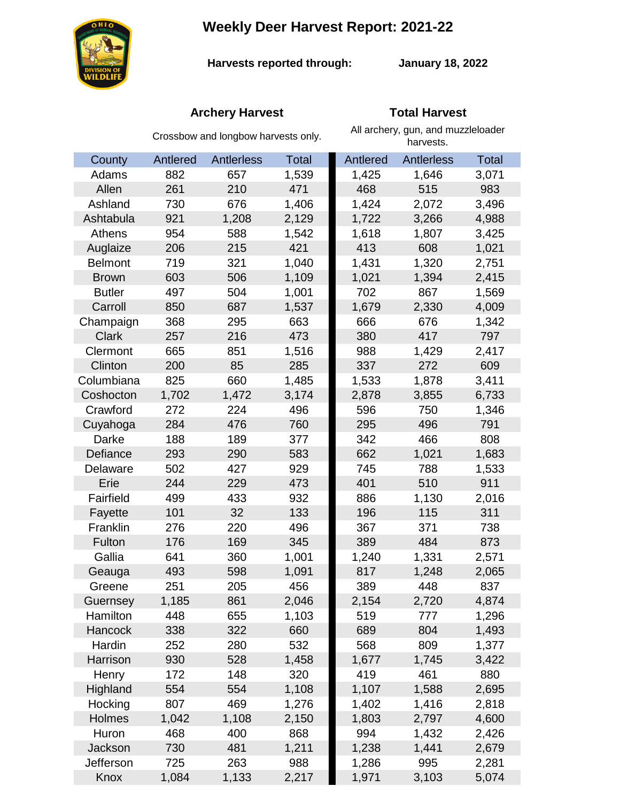# **Weekly Deer Harvest Report: 2021-22**



**Harvests reported through:** 

**January 18, 2022**

## **Archery Harvest Total Harvest**

|                | Crossbow and longbow harvests only. |            |              | All archery, gun, and muzzleloader<br>harvests. |                   |              |
|----------------|-------------------------------------|------------|--------------|-------------------------------------------------|-------------------|--------------|
| County         | Antlered                            | Antlerless | <b>Total</b> | Antlered                                        | <b>Antlerless</b> | <b>Total</b> |
| Adams          | 882                                 | 657        | 1,539        | 1,425                                           | 1,646             | 3,071        |
| Allen          | 261                                 | 210        | 471          | 468                                             | 515               | 983          |
| Ashland        | 730                                 | 676        | 1,406        | 1,424                                           | 2,072             | 3,496        |
| Ashtabula      | 921                                 | 1,208      | 2,129        | 1,722                                           | 3,266             | 4,988        |
| Athens         | 954                                 | 588        | 1,542        | 1,618                                           | 1,807             | 3,425        |
| Auglaize       | 206                                 | 215        | 421          | 413                                             | 608               | 1,021        |
| <b>Belmont</b> | 719                                 | 321        | 1,040        | 1,431                                           | 1,320             | 2,751        |
| <b>Brown</b>   | 603                                 | 506        | 1,109        | 1,021                                           | 1,394             | 2,415        |
| <b>Butler</b>  | 497                                 | 504        | 1,001        | 702                                             | 867               | 1,569        |
| Carroll        | 850                                 | 687        | 1,537        | 1,679                                           | 2,330             | 4,009        |
| Champaign      | 368                                 | 295        | 663          | 666                                             | 676               | 1,342        |
| <b>Clark</b>   | 257                                 | 216        | 473          | 380                                             | 417               | 797          |
| Clermont       | 665                                 | 851        | 1,516        | 988                                             | 1,429             | 2,417        |
| Clinton        | 200                                 | 85         | 285          | 337                                             | 272               | 609          |
| Columbiana     | 825                                 | 660        | 1,485        | 1,533                                           | 1,878             | 3,411        |
| Coshocton      | 1,702                               | 1,472      | 3,174        | 2,878                                           | 3,855             | 6,733        |
| Crawford       | 272                                 | 224        | 496          | 596                                             | 750               | 1,346        |
| Cuyahoga       | 284                                 | 476        | 760          | 295                                             | 496               | 791          |
| Darke          | 188                                 | 189        | 377          | 342                                             | 466               | 808          |
| Defiance       | 293                                 | 290        | 583          | 662                                             | 1,021             | 1,683        |
| Delaware       | 502                                 | 427        | 929          | 745                                             | 788               | 1,533        |
| Erie           | 244                                 | 229        | 473          | 401                                             | 510               | 911          |
| Fairfield      | 499                                 | 433        | 932          | 886                                             | 1,130             | 2,016        |
| Fayette        | 101                                 | 32         | 133          | 196                                             | 115               | 311          |
| Franklin       | 276                                 | 220        | 496          | 367                                             | 371               | 738          |
| Fulton         | 176                                 | 169        | 345          | 389                                             | 484               | 873          |
| Gallia         | 641                                 | 360        | 1,001        | 1,240                                           | 1,331             | 2,571        |
| Geauga         | 493                                 | 598        | 1,091        | 817                                             | 1,248             | 2,065        |
| Greene         | 251                                 | 205        | 456          | 389                                             | 448               | 837          |
| Guernsey       | 1,185                               | 861        | 2,046        | 2,154                                           | 2,720             | 4,874        |
| Hamilton       | 448                                 | 655        | 1,103        | 519                                             | 777               | 1,296        |
| <b>Hancock</b> | 338                                 | 322        | 660          | 689                                             | 804               | 1,493        |
| Hardin         | 252                                 | 280        | 532          | 568                                             | 809               | 1,377        |
| Harrison       | 930                                 | 528        | 1,458        | 1,677                                           | 1,745             | 3,422        |
| Henry          | 172                                 | 148        | 320          | 419                                             | 461               | 880          |
| Highland       | 554                                 | 554        | 1,108        | 1,107                                           | 1,588             | 2,695        |
| Hocking        | 807                                 | 469        | 1,276        | 1,402                                           | 1,416             | 2,818        |
| Holmes         | 1,042                               | 1,108      | 2,150        | 1,803                                           | 2,797             | 4,600        |
| Huron          | 468                                 | 400        | 868          | 994                                             | 1,432             | 2,426        |
| Jackson        | 730                                 | 481        | 1,211        | 1,238                                           | 1,441             | 2,679        |
| Jefferson      | 725                                 | 263        | 988          | 1,286                                           | 995               | 2,281        |
| Knox           | 1,084                               | 1,133      | 2,217        | 1,971                                           | 3,103             | 5,074        |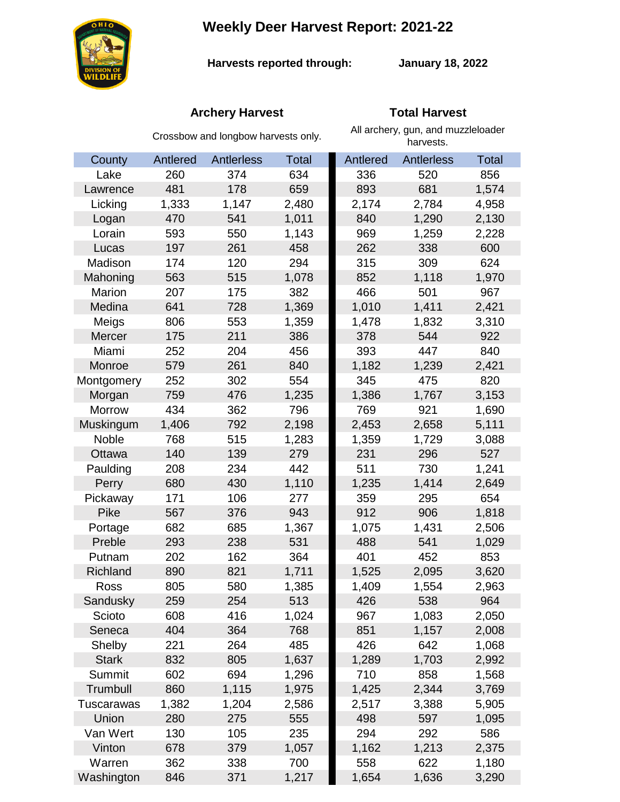**Weekly Deer Harvest Report: 2021-22**



**Harvests reported through:** 

**January 18, 2022**

## **Archery Harvest Total Harvest**

|               | Crossbow and longbow harvests only. |            |              | All archery, gun, and muzzleloader<br>harvests. |                   |              |
|---------------|-------------------------------------|------------|--------------|-------------------------------------------------|-------------------|--------------|
| County        | Antlered                            | Antlerless | <b>Total</b> | Antlered                                        | <b>Antlerless</b> | <b>Total</b> |
| Lake          | 260                                 | 374        | 634          | 336                                             | 520               | 856          |
| Lawrence      | 481                                 | 178        | 659          | 893                                             | 681               | 1,574        |
| Licking       | 1,333                               | 1,147      | 2,480        | 2,174                                           | 2,784             | 4,958        |
| Logan         | 470                                 | 541        | 1,011        | 840                                             | 1,290             | 2,130        |
| Lorain        | 593                                 | 550        | 1,143        | 969                                             | 1,259             | 2,228        |
| Lucas         | 197                                 | 261        | 458          | 262                                             | 338               | 600          |
| Madison       | 174                                 | 120        | 294          | 315                                             | 309               | 624          |
| Mahoning      | 563                                 | 515        | 1,078        | 852                                             | 1,118             | 1,970        |
| Marion        | 207                                 | 175        | 382          | 466                                             | 501               | 967          |
| Medina        | 641                                 | 728        | 1,369        | 1,010                                           | 1,411             | 2,421        |
| Meigs         | 806                                 | 553        | 1,359        | 1,478                                           | 1,832             | 3,310        |
| Mercer        | 175                                 | 211        | 386          | 378                                             | 544               | 922          |
| Miami         | 252                                 | 204        | 456          | 393                                             | 447               | 840          |
| Monroe        | 579                                 | 261        | 840          | 1,182                                           | 1,239             | 2,421        |
| Montgomery    | 252                                 | 302        | 554          | 345                                             | 475               | 820          |
| Morgan        | 759                                 | 476        | 1,235        | 1,386                                           | 1,767             | 3,153        |
| <b>Morrow</b> | 434                                 | 362        | 796          | 769                                             | 921               | 1,690        |
| Muskingum     | 1,406                               | 792        | 2,198        | 2,453                                           | 2,658             | 5,111        |
| Noble         | 768                                 | 515        | 1,283        | 1,359                                           | 1,729             | 3,088        |
| Ottawa        | 140                                 | 139        | 279          | 231                                             | 296               | 527          |
| Paulding      | 208                                 | 234        | 442          | 511                                             | 730               | 1,241        |
| Perry         | 680                                 | 430        | 1,110        | 1,235                                           | 1,414             | 2,649        |
| Pickaway      | 171                                 | 106        | 277          | 359                                             | 295               | 654          |
| <b>Pike</b>   | 567                                 | 376        | 943          | 912                                             | 906               | 1,818        |
| Portage       | 682                                 | 685        | 1,367        | 1,075                                           | 1,431             | 2,506        |
| Preble        | 293                                 | 238        | 531          | 488                                             | 541               | 1,029        |
| Putnam        | 202                                 | 162        | 364          | 401                                             | 452               | 853          |
| Richland      | 890                                 | 821        | 1,711        | 1,525                                           | 2,095             | 3,620        |
| Ross          | 805                                 | 580        | 1,385        | 1,409                                           | 1,554             | 2,963        |
| Sandusky      | 259                                 | 254        | 513          | 426                                             | 538               | 964          |
| Scioto        | 608                                 | 416        | 1,024        | 967                                             | 1,083             | 2,050        |
| Seneca        | 404                                 | 364        | 768          | 851                                             | 1,157             | 2,008        |
| Shelby        | 221                                 | 264        | 485          | 426                                             | 642               | 1,068        |
| <b>Stark</b>  | 832                                 | 805        | 1,637        | 1,289                                           | 1,703             | 2,992        |
| Summit        | 602                                 | 694        | 1,296        | 710                                             | 858               | 1,568        |
| Trumbull      | 860                                 | 1,115      | 1,975        | 1,425                                           | 2,344             | 3,769        |
| Tuscarawas    | 1,382                               | 1,204      | 2,586        | 2,517                                           | 3,388             | 5,905        |
| Union         | 280                                 | 275        | 555          | 498                                             | 597               | 1,095        |
| Van Wert      | 130                                 | 105        | 235          | 294                                             | 292               | 586          |
| Vinton        | 678                                 | 379        | 1,057        | 1,162                                           | 1,213             | 2,375        |
| Warren        | 362                                 | 338        | 700          | 558                                             | 622               | 1,180        |
| Washington    | 846                                 | 371        | 1,217        | 1,654                                           | 1,636             | 3,290        |